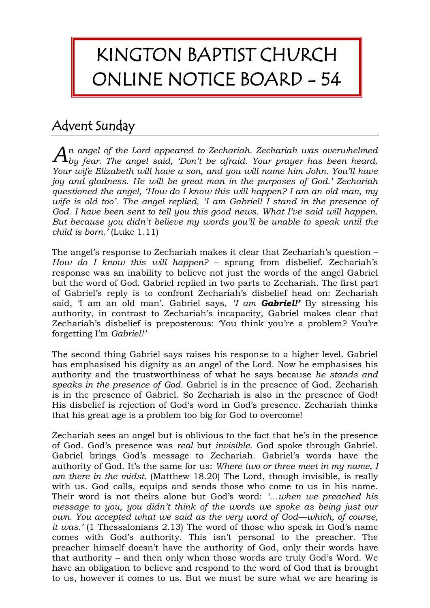## KINGTON BAPTIST CHURCH ONLINE NOTICE BOARD - 54

## Advent Sunday

*n angel of the Lord appeared to Zechariah. Zechariah was overwhelmed*   $A_n$  angel of the Lord appeared to Zechariah. Zechariah was overwhelmed by fear. The angel said, 'Don't be afraid. Your prayer has been heard. *Your wife Elizabeth will have a son, and you will name him John. You'll have joy and gladness. He will be great man in the purposes of God.' Zechariah questioned the angel, 'How do I know this will happen? I am an old man, my wife is old too'. The angel replied, 'I am Gabriel! I stand in the presence of God. I have been sent to tell you this good news. What I've said will happen. But because you didn't believe my words you'll be unable to speak until the child is born.'* (Luke 1.11)

The angel's response to Zechariah makes it clear that Zechariah's question – *How do I know this will happen?* – sprang from disbelief. Zechariah's response was an inability to believe not just the words of the angel Gabriel but the word of God. Gabriel replied in two parts to Zechariah. The first part of Gabriel's reply is to confront Zechariah's disbelief head on: Zechariah said, 'I am an old man'. Gabriel says, *'I am Gabriel!'* By stressing his authority, in contrast to Zechariah's incapacity, Gabriel makes clear that Zechariah's disbelief is preposterous: 'You think you're a problem? You're forgetting I'm *Gabriel!'*

The second thing Gabriel says raises his response to a higher level. Gabriel has emphasised his dignity as an angel of the Lord. Now he emphasises his authority and the trustworthiness of what he says because *he stands and speaks in the presence of God.* Gabriel is in the presence of God. Zechariah is in the presence of Gabriel. So Zechariah is also in the presence of God! His disbelief is rejection of God's word in God's presence. Zechariah thinks that his great age is a problem too big for God to overcome!

Zechariah sees an angel but is oblivious to the fact that he's in the presence of God. God's presence was *real* but *invisible*. God spoke through Gabriel. Gabriel brings God's message to Zechariah. Gabriel's words have the authority of God. It's the same for us: *Where two or three meet in my name, I am there in the midst.* (Matthew 18.20) The Lord, though invisible, is really with us. God calls, equips and sends those who come to us in his name. Their word is not theirs alone but God's word: *'…when we preached his message to you, you didn't think of the words we spoke as being just our own. You accepted what we said as the very word of God––which, of course, it was.'* (1 Thessalonians 2.13) The word of those who speak in God's name comes with God's authority. This isn't personal to the preacher. The preacher himself doesn't have the authority of God, only their words have that authority – and then only when those words are truly God's Word. We have an obligation to believe and respond to the word of God that is brought to us, however it comes to us. But we must be sure what we are hearing is